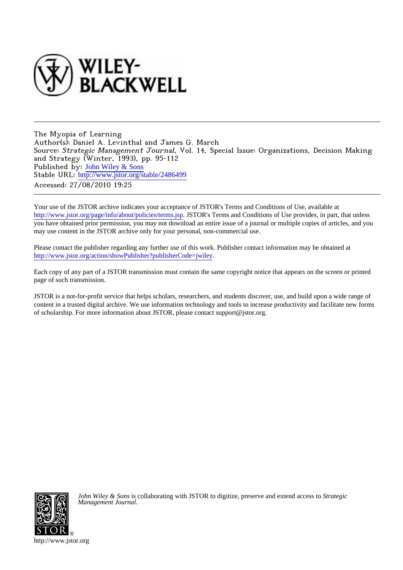

The Myopia of Learning Author(s): Daniel A. Levinthal and James G. March Source: Strategic Management Journal, Vol. 14, Special Issue: Organizations, Decision Making and Strategy (Winter, 1993), pp. 95-112 Published by: [John Wiley & Sons](http://www.jstor.org/action/showPublisher?publisherCode=jwiley) Stable URL: [http://www.jstor.org/stable/2486499](http://www.jstor.org/stable/2486499?origin=JSTOR-pdf) Accessed: 27/08/2010 19:25

Your use of the JSTOR archive indicates your acceptance of JSTOR's Terms and Conditions of Use, available at <http://www.jstor.org/page/info/about/policies/terms.jsp>. JSTOR's Terms and Conditions of Use provides, in part, that unless you have obtained prior permission, you may not download an entire issue of a journal or multiple copies of articles, and you may use content in the JSTOR archive only for your personal, non-commercial use.

Please contact the publisher regarding any further use of this work. Publisher contact information may be obtained at [http://www.jstor.org/action/showPublisher?publisherCode=jwiley.](http://www.jstor.org/action/showPublisher?publisherCode=jwiley)

Each copy of any part of a JSTOR transmission must contain the same copyright notice that appears on the screen or printed page of such transmission.

JSTOR is a not-for-profit service that helps scholars, researchers, and students discover, use, and build upon a wide range of content in a trusted digital archive. We use information technology and tools to increase productivity and facilitate new forms of scholarship. For more information about JSTOR, please contact support@jstor.org.



*John Wiley & Sons* is collaborating with JSTOR to digitize, preserve and extend access to *Strategic Management Journal.*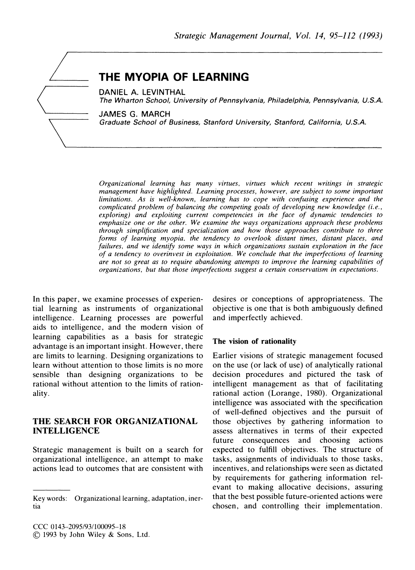

**DANIEL A. LEVINTHAL The Wharton School, University of Pennsylvania, Philadelphia, Pennsylvania, U.S.A.** 

**JAMES G. MARCH** 

**Graduate School of Business, Stanford University, Stanford, California, U.S.A.** 

**Organizational learning has many virtues, virtues which recent writings in strategic management have highlighted. Learning processes, however, are subject to some important limitations. As is well-known, learning has to cope with confusing experience and the complicated problem of balancing the competing goals of developing new knowledge (i.e., exploring) and exploiting current competencies in the face of dynamic tendencies to emphasize one or the other. We examine the ways organizations approach these problems through simplification and specialization and how those approaches contribute to three forms of learning myopia, the tendency to overlook distant times, distant places, and failures, and we identify some ways in which organizations sustain exploration in the face of a tendency to overinvest in exploitation. We conclude that the imperfections of learning are not so great as to require abandoning attempts to improve the learning capabilities of organizations, but that those imperfections suggest a certain conservatism in expectations.** 

**In this paper, we examine processes of experiential learning as instruments of organizational intelligence. Learning processes are powerful aids to intelligence, and the modern vision of learning capabilities as a basis for strategic advantage is an important insight. However, there are limits to learning. Designing organizations to learn without attention to those limits is no more sensible than designing organizations to be rational without attention to the limits of rationality.** 

# **THE SEARCH FOR ORGANIZATIONAL INTELLIGENCE**

**Strategic management is built on a search for organizational intelligence, an attempt to make actions lead to outcomes that are consistent with** 

**desires or conceptions of appropriateness. The objective is one that is both ambiguously defined and imperfectly achieved.** 

#### **The vision of rationality**

**Earlier visions of strategic management focused on the use (or lack of use) of analytically rational decision procedures and pictured the task of intelligent management as that of facilitating rational action (Lorange, 1980). Organizational intelligence was associated with the specification of well-defined objectives and the pursuit of those objectives by gathering information to assess alternatives in terms of their expected future consequences and choosing actions expected to fulfill objectives. The structure of tasks, assignments of individuals to those tasks, incentives, and relationships were seen as dictated by requirements for gathering information relevant to making allocative decisions, assuring that the best possible future-oriented actions were chosen, and controlling their implementation.** 

**Key words: Organizational learning, adaptation, inertia**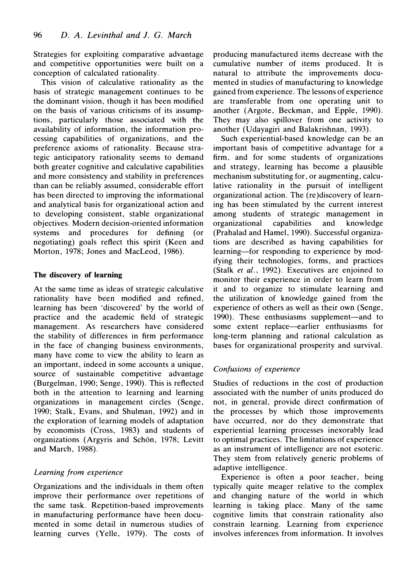**Strategies for exploiting comparative advantage and competitive opportunities were built on a conception of calculated rationality.** 

**This vision of calculative rationality as the basis of strategic management continues to be the dominant vision, though it has been modified on the basis of various criticisms of its assumptions, particularly those associated with the availability of information, the information processing capabilities of organizations, and the preference axioms of rationality. Because strategic anticipatory rationality seems to demand both greater cognitive and calculative capabilities and more consistency and stability in preferences than can be reliably assumed, considerable effort has been directed to improving the informational and analytical basis for organizational action and to developing consistent, stable organizational objectives. Modern decision-oriented information systems and procedures for defining (or negotiating) goals reflect this spirit (Keen and Morton, 1978; Jones and MacLeod, 1986).** 

# **The discovery of learning**

**At the same time as ideas of strategic calculative rationality have been modified and refined, learning has been 'discovered' by the world of practice and the academic field of strategic management. As researchers have considered the stability of differences in firm performance in the face of changing business environments, many have come to view the ability to learn as an important, indeed in some accounts a unique, source of sustainable competitive advantage (Burgelman, 1990; Senge, 1990). This is reflected both in the attention to learning and learning organizations in management circles (Senge, 1990; Stalk, Evans, and Shulman, 1992) and in the exploration of learning models of adaptation by economists (Cross, 1983) and students of**  organizations (Argyris and Schön, 1978; Levitt **and March, 1988).** 

# **Learning from experience**

**Organizations and the individuals in them often improve their performance over repetitions of the same task. Repetition-based improvements in manufacturing performance have been documented in some detail in numerous studies of learning curves (Yelle, 1979). The costs of**  **producing manufactured items decrease with the cumulative number of items produced. It is natural to attribute the improvements documented in studies of manufacturing to knowledge gained from experience. The lessons of experience are transferable from one operating unit to another (Argote, Beckman, and Epple, 1990). They may also spillover from one activity to another (Udayagiri and Balakrishnan, 1993).** 

**Such experiential-based knowledge can be an important basis of competitive advantage for a firm, and for some students of organizations and strategy, learning has become a plausible mechanism substituting for, or augmenting, calculative rationality in the pursuit of intelligent organizational action. The (re)discovery of learning has been stimulated by the current interest among students of strategic management in organizational capabilities and knowledge (Prahalad and Hamel, 1990). Successful organizations are described as having capabilities for learning-for responding to experience by modifying their technologies, forms, and practices (Stalk et al., 1992). Executives are enjoined to monitor their experience in order to learn from it and to organize to stimulate learning and the utilization of knowledge gained from the experience of others as well as their own (Senge,**  1990). These enthusiasms supplement—and to **some extent replace-earlier enthusiasms for long-term planning and rational calculation as bases for organizational prosperity and survival.** 

# **Confusions of experience**

**Studies of reductions in the cost of production associated with the number of units produced do not, in general, provide direct confirmation of the processes by which those improvements have occurred, nor do they demonstrate that experiential learning processes inexorably lead to optimal practices. The limitations of experience as an instrument of intelligence are not esoteric. They stem from relatively generic problems of adaptive intelligence.** 

**Experience is often a poor teacher, being typically quite meager relative to the complex and changing nature of the world in which learning is taking place. Many of the same cognitive limits that constrain rationality also constrain learning. Learning from experience involves inferences from information. It involves**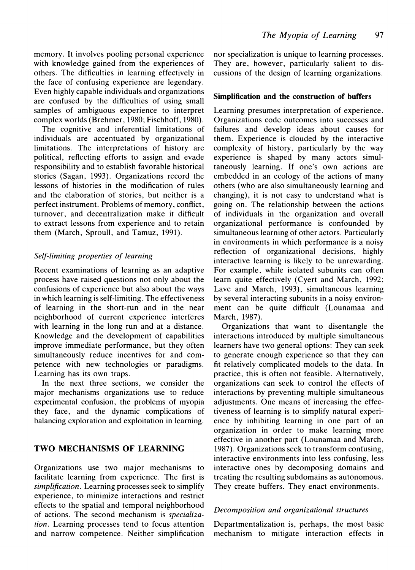**memory. It involves pooling personal experience with knowledge gained from the experiences of others. The difficulties in learning effectively in the face of confusing experience are legendary. Even highly capable individuals and organizations are confused by the difficulties of using small samples of ambiguous experience to interpret complex worlds (Brehmer, 1980; Fischhoff, 1980).** 

**The cognitive and inferential limitations of individuals are accentuated by organizational limitations. The interpretations of history are political, reflecting efforts to assign and evade responsibility and to establish favorable historical stories (Sagan, 1993). Organizations record the lessons of histories in the modification of rules and the elaboration of stories, but neither is a perfect instrument. Problems of memory, conflict, turnover, and decentralization make it difficult to extract lessons from experience and to retain them (March, Sproull, and Tamuz, 1991).** 

#### **Self-limiting properties of learning**

**Recent examinations of learning as an adaptive process have raised questions not only about the confusions of experience but also about the ways in which learning is self-limiting. The effectiveness of learning in the short-run and in the near neighborhood of current experience interferes with learning in the long run and at a distance. Knowledge and the development of capabilities improve immediate performance, but they often simultaneously reduce incentives for and competence with new technologies or paradigms. Learning has its own traps.** 

**In the next three sections, we consider the major mechanisms organizations use to reduce experimental confusion, the problems of myopia they face, and the dynamic complications of balancing exploration and exploitation in learning.** 

# **TWO MECHANISMS OF LEARNING**

**Organizations use two major mechanisms to facilitate learning from experience. The first is simplification. Learning processes seek to simplify experience, to minimize interactions and restrict effects to the spatial and temporal neighborhood of actions. The second mechanism is specialization. Learning processes tend to focus attention and narrow competence. Neither simplification**  **nor specialization is unique to learning processes. They are, however, particularly salient to discussions of the design of learning organizations.** 

#### **Simplification and the construction of buffers**

**Learning presumes interpretation of experience. Organizations code outcomes into successes and failures and develop ideas about causes for them. Experience is clouded by the interactive complexity of history, particularly by the way experience is shaped by many actors simultaneously learning. If one's own actions are embedded in an ecology of the actions of many others (who are also simultaneously learning and changing), it is not easy to understand what is going on. The relationship between the actions of individuals in the organization and overall organizational performance is confounded by simultaneous learning of other actors. Particularly in environments in which performance is a noisy reflection of organizational decisions, highly interactive learning is likely to be unrewarding. For example, while isolated subunits can often learn quite effectively (Cyert and March, 1992; Lave and March, 1993), simultaneous learning by several interacting subunits in a noisy environment can be quite difficult (Lounamaa and March, 1987).** 

**Organizations that want to disentangle the interactions introduced by multiple simultaneous learners have two general options: They can seek to generate enough experience so that they can fit relatively complicated models to the data. In practice, this is often not feasible. Alternatively, organizations can seek to control the effects of interactions by preventing multiple simultaneous adjustments. One means of increasing the effectiveness of learning is to simplify natural experience by inhibiting learning in one part of an organization in order to make learning more effective in another part (Lounamaa and March, 1987). Organizations seek to transform confusing, interactive environments into less confusing, less interactive ones by decomposing domains and treating the resulting subdomains as autonomous. They create buffers. They enact environments.** 

#### **Decomposition and organizational structures**

**Departmentalization is, perhaps, the most basic mechanism to mitigate interaction effects in**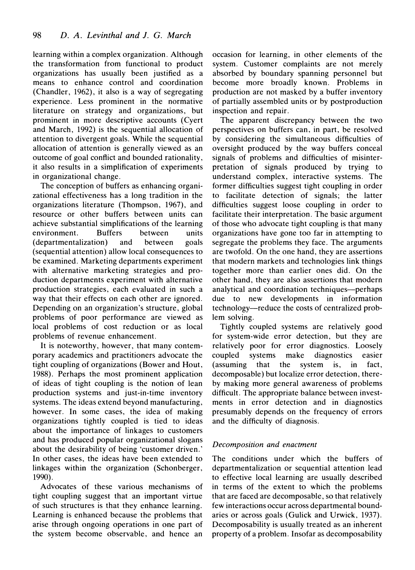**learning within a complex organization. Although the transformation from functional to product organizations has usually been justified as a means to enhance control and coordination (Chandler, 1962), it also is a way of segregating experience. Less prominent in the normative literature on strategy and organizations, but prominent in more descriptive accounts (Cyert and March, 1992) is the sequential allocation of attention to divergent goals. While the sequential allocation of attention is generally viewed as an outcome of goal conflict and bounded rationality, it also results in a simplification of experiments in organizational change.** 

**The conception of buffers as enhancing organizational effectiveness has a long tradition in the organizations literature (Thompson, 1967), and resource or other buffers between units can achieve substantial simplifications of the learning environment. Buffers between units (departmentalization) and between goals (sequential attention) allow local consequences to be examined. Marketing departments experiment with alternative marketing strategies and production departments experiment with alternative production strategies, each evaluated in such a way that their effects on each other are ignored. Depending on an organization's structure, global problems of poor performance are viewed as local problems of cost reduction or as local problems of revenue enhancement.** 

**It is noteworthy, however, that many contemporary academics and practitioners advocate the tight coupling of organizations (Bower and Hout, 1988). Perhaps the most prominent application of ideas of tight coupling is the notion of lean production systems and just-in-time inventory systems. The ideas extend beyond manufacturing, however. In some cases, the idea of making organizations tightly coupled is tied to ideas about the importance of linkages to customers and has produced popular organizational slogans about the desirability of being 'customer driven.' In other cases, the ideas have been extended to linkages within the organization (Schonberger, 1990).** 

**Advocates of these various mechanisms of tight coupling suggest that an important virtue of such structures is that they enhance learning. Learning is enhanced because the problems that arise through ongoing operations in one part of the system become observable, and hence an** 

**occasion for learning, in other elements of the system. Customer complaints are not merely absorbed by boundary spanning personnel but become more broadly known. Problems in production are not masked by a buffer inventory of partially assembled units or by postproduction inspection and repair.** 

**The apparent discrepancy between the two perspectives on buffers can, in part, be resolved by considering the simultaneous difficulties of oversight produced by the way buffers conceal signals of problems and difficulties of misinterpretation of signals produced by trying to understand complex, interactive systems. The former difficulties suggest tight coupling in order to facilitate detection of signals; the latter difficulties suggest loose coupling in order to facilitate their interpretation. The basic argument of those who advocate tight coupling is that many organizations have gone too far in attempting to segregate the problems they face. The arguments are twofold. On the one hand, they are assertions that modern markets and technologies link things together more than earlier ones did. On the other hand, they are also assertions that modern analytical and coordination techniques-perhaps due to new developments in information technology-reduce the costs of centralized problem solving.** 

**Tightly coupled systems are relatively good for system-wide error detection, but they are relatively poor for error diagnostics. Loosely coupled systems make diagnostics easier (assuming that the system is, in fact, decomposable) but localize error detection, thereby making more general awareness of problems difficult. The appropriate balance between investments in error detection and in diagnostics presumably depends on the frequency of errors and the difficulty of diagnosis.** 

# **Decomposition and enactment**

**The conditions under which the buffers of departmentalization or sequential attention lead to effective local learning are usually described in terms of the extent to which the problems that are faced are decomposable, so that relatively few interactions occur across departmental boundaries or across goals (Gulick and Urwick, 1937). Decomposability is usually treated as an inherent property of a problem. Insofar as decomposability**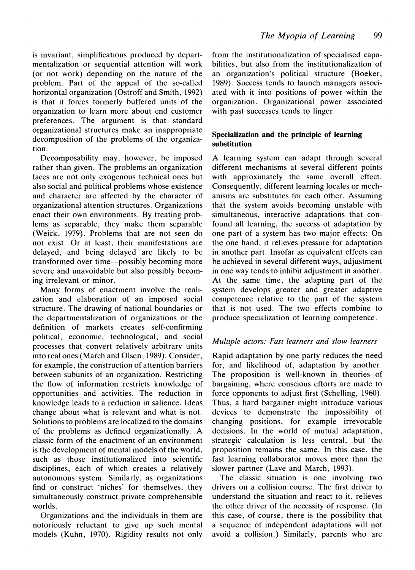**is invariant, simplifications produced by departmentalization or sequential attention will work (or not work) depending on the nature of the problem. Part of the appeal of the so-called horizontal organization (Ostroff and Smith, 1992) is that it forces formerly buffered units of the organization to learn more about end customer preferences. The argument is that standard organizational structures make an inappropriate decomposition of the problems of the organization.** 

**Decomposability may, however, be imposed rather than given. The problems an organization faces are not only exogenous technical ones but also social and political problems whose existence and character are affected by the character of organizational attention structures. Organizations enact their own environments. By treating problems as separable, they make them separable (Weick, 1979). Problems that are not seen do not exist. Or at least, their manifestations are delayed, and being delayed are likely to be transformed over time-possibly becoming more severe and unavoidable but also possibly becoming irrelevant or minor.** 

**Many forms of enactment involve the realization and elaboration of an imposed social structure. The drawing of national boundaries or the departmentalization of organizations or the definition of markets creates self-confirming political, economic, technological, and social processes that convert relatively arbitrary units into real ones (March and Olsen, 1989). Consider, for example, the construction of attention barriers between subunits of an organization. Restricting the flow of information restricts knowledge of opportunities and activities. The reduction in knowledge leads to a reduction in salience. Ideas change about what is relevant and what is not. Solutions to problems are localized to the domains of the problems as defined organizationally. A classic form of the enactment of an environment is the development of mental models of the world, such as those institutionalized into scientific disciplines, each of which creates a relatively autonomous system. Similarly, as organizations find or construct 'niches' for themselves, they simultaneously construct private comprehensible worlds.** 

**Organizations and the individuals in them are notoriously reluctant to give up such mental models (Kuhn, 1970). Rigidity results not only** 

**from the institutionalization of specialised capabilities, but also from the institutionalization of an organization's political structure (Boeker, 1989). Success tends to launch managers associated with it into positions of power within the organization. Organizational power associated with past successes tends to linger.** 

## **Specialization and the principle of learning substitution**

**A learning system can adapt through several different mechanisms at several different points with approximately the same overall effect. Consequently, different learning locales or mechanisms are substitutes for each other. Assuming that the system avoids becoming unstable with simultaneous, interactive adaptations that confound all learning, the success of adaptation by one part of a system has two major effects: On the one hand, it relieves pressure for adaptation in another part. Insofar as equivalent effects can be achieved in several different ways, adjustment in one way tends to inhibit adjustment in another. At the same time, the adapting part of the system develops greater and greater adaptive competence relative to the part of the system that is not used. The two effects combine to produce specialization of learning competence.** 

# **Multiple actors: Fast learners and slow learners**

**Rapid adaptation by one party reduces the need for, and likelihood of, adaptation by another. The proposition is well-known in theories of bargaining, where conscious efforts are made to force opponents to adjust first (Schelling, 1960). Thus, a hard bargainer might introduce various devices to demonstrate the impossibility of changing positions, for example irrevocable decisions. In the world of mutual adaptation, strategic calculation is less central, but the proposition remains the same. In this case, the fast learning collaborator moves more than the slower partner (Lave and March, 1993).** 

**The classic situation is one involving two drivers on a collision course. The first driver to understand the situation and react to it, relieves the other driver of the necessity of response. (In this case, of course, there is the possibility that a sequence of independent adaptations will not avoid a collision.) Similarly, parents who are**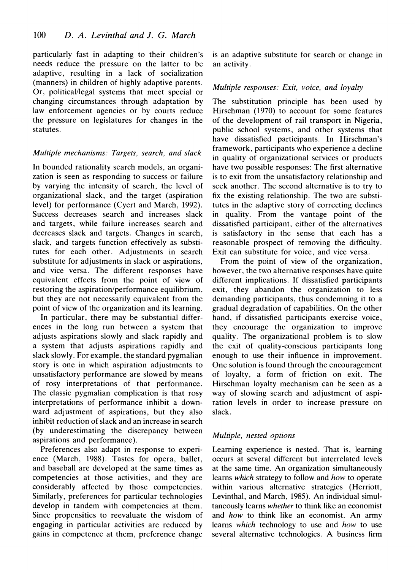**particularly fast in adapting to their children's needs reduce the pressure on the latter to be adaptive, resulting in a lack of socialization (manners) in children of highly adaptive parents. Or, political/legal systems that meet special or changing circumstances through adaptation by law enforcement agencies or by courts reduce the pressure on legislatures for changes in the statutes.** 

#### **Multiple mechanisms: Targets, search, and slack**

**In bounded rationality search models, an organization is seen as responding to success or failure by varying the intensity of search, the level of organizational slack, and the target (aspiration level) for performance (Cyert and March, 1992). Success decreases search and increases slack and targets, while failure increases search and decreases slack and targets. Changes in search, slack, and targets function effectively as substitutes for each other. Adjustments in search substitute for adjustments in slack or aspirations, and vice versa. The different responses have equivalent effects from the point of view of restoring the aspiration/performance equilibrium, but they are not necessarily equivalent from the point of view of the organization and its learning.** 

**In particular, there may be substantial differences in the long run between a system that adjusts aspirations slowly and slack rapidly and a system that adjusts aspirations rapidly and slack slowly. For example, the standard pygmalian story is one in which aspiration adjustments to unsatisfactory performance are slowed by means of rosy interpretations of that performance. The classic pygmalian complication is that rosy interpretations of performance inhibit a downward adjustment of aspirations, but they also inhibit reduction of slack and an increase in search (by underestimating the discrepancy between aspirations and performance).** 

**Preferences also adapt in response to experience (March, 1988). Tastes for opera, ballet, and baseball are developed at the same times as competencies at those activities, and they are considerably affected by those competencies. Similarly, preferences for particular technologies develop in tandem with competencies at them. Since propensities to reevaluate the wisdom of engaging in particular activities are reduced by gains in competence at them, preference change**  **is an adaptive substitute for search or change in an activity.** 

### **Multiple responses: Exit, voice, and loyalty**

**The substitution principle has been used by Hirschman (1970) to account for some features of the development of rail transport in Nigeria, public school systems, and other systems that have dissatisfied participants. In Hirschman's framework, participants who experience a decline in quality of organizational services or products have two possible responses: The first alternative is to exit from the unsatisfactory relationship and seek another. The second alternative is to try to fix the existing relationship. The two are substitutes in the adaptive story of correcting declines in quality. From the vantage point of the dissatisfied participant, either of the alternatives is satisfactory in the sense that each has a reasonable prospect of removing the difficulty. Exit can substitute for voice, and vice versa.** 

**From the point of view of the organization, however, the two alternative responses have quite different implications. If dissatisfied participants exit, they abandon the organization to less demanding participants, thus condemning it to a gradual degradation of capabilities. On the other hand, if dissatisfied participants exercise voice, they encourage the organization to improve quality. The organizational problem is to slow the exit of quality-conscious participants long enough to use their influence in improvement. One solution is found through the encouragement of loyalty, a form of friction on exit. The Hirschman loyalty mechanism can be seen as a way of slowing search and adjustment of aspiration levels in order to increase pressure on slack.** 

#### **Multiple, nested options**

**Learning experience is nested. That is, learning occurs at several different but interrelated levels at the same time. An organization simultaneously learns which strategy to follow and how to operate within various alternative strategies (Herriott, Levinthal, and March, 1985). An individual simultaneously learns whether to think like an economist and how to think like an economist. An army learns which technology to use and how to use several alternative technologies. A business firm**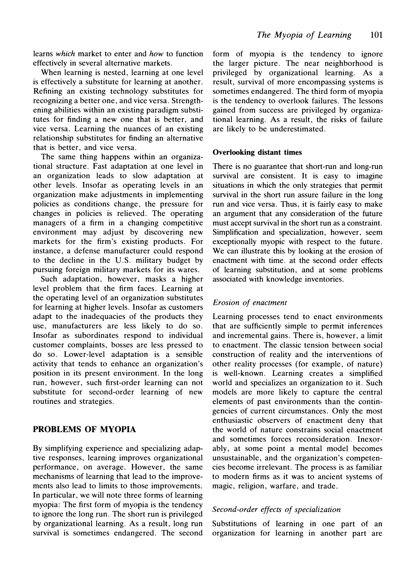**learns which market to enter and how to function effectively in several alternative markets.** 

**When learning is nested, learning at one level is effectively a substitute for learning at another. Refining an existing technology substitutes for recognizing a better one, and vice versa. Strengthening abilities within an existing paradigm substitutes for finding a new one that is better, and vice versa. Learning the nuances of an existing relationship substitutes for finding an alternative that is better, and vice versa.** 

**The same thing happens within an organizational structure. Fast adaptation at one level in an organization leads to slow adaptation at other levels. Insofar as operating levels in an organization make adjustments in implementing policies as conditions change, the pressure for changes in policies is relieved. The operating managers of a firm in a changing competitive environment may adjust by discovering new markets for the firm's existing products. For instance, a defense manufacturer could respond to the decline in the U.S. military budget by pursuing foreign military markets for its wares.** 

**Such adaptation, however, masks a higher level problem that the firm faces. Learning at the operating level of an organization substitutes for learning at higher levels. Insofar as customers adapt to the inadequacies of the products they use, manufacturers are less likely to do so. Insofar as subordinates respond to individual customer complaints, bosses are less pressed to do so. Lower-level adaptation is a sensible activity that tends to enhance an organization's position in its present environment. In the long run, however, such first-order learning can not substitute for second-order learning of new routines and strategies.** 

### **PROBLEMS OF MYOPIA**

**By simplifying experience and specializing adaptive responses, learning improves organizational performance, on average. However, the same mechanisms of learning that lead to the improvements also lead to limits to those improvements. In particular, we will note three forms of learning myopia: The first form of myopia is the tendency to ignore the long run. The short run is privileged by organizational learning. As a result, long run survival is sometimes endangered. The second**  **form of myopia is the tendency to ignore the larger picture. The near neighborhood is privileged by organizational learning. As a result, survival of more encompassing systems is sometimes endangered. The third form of myopia is the tendency to overlook failures. The lessons gained from success are privileged by organizational learning. As a result, the risks of failure are likely to be underestimated.** 

#### **Overlooking distant times**

**There is no guarantee that short-run and long-run survival are consistent. It is easy to imagine situations in which the only strategies that permit survival in the short run assure failure in the long run and vice versa. Thus, it is fairly easy to make an argument that any consideration of the future must accept survival in the short run as a constraint. Simplification and specialization, however, seem exceptionally myopic with respect to the future. We can illustrate this by looking at the erosion of enactment with time. at the second order effects of learning substitution, and at some problems associated with knowledge inventories.** 

#### **Erosion of enactment**

**Learning processes tend to enact environments that are sufficiently simple to permit inferences and incremental gains. There is, however, a limit to enactment. The classic tension between social construction of reality and the interventions of other reality processes (for example, of nature) is well-known. Learning creates a simplified world and specializes an organization to it. Such models are more likely to capture the central elements of past environments than the contingencies of current circumstances. Only the most enthusiastic observers of enactment deny that the world of nature constrains social enactment and sometimes forces reconsideration. Inexorably, at some point a mental model becomes unsustainable, and the organization's competencies become irrelevant. The process is as familiar to modern firms as it was to ancient systems of magic, religion, warfare, and trade.** 

# **Second-order effects of specialization**

**Substitutions of learning in one part of an organization for learning in another part are**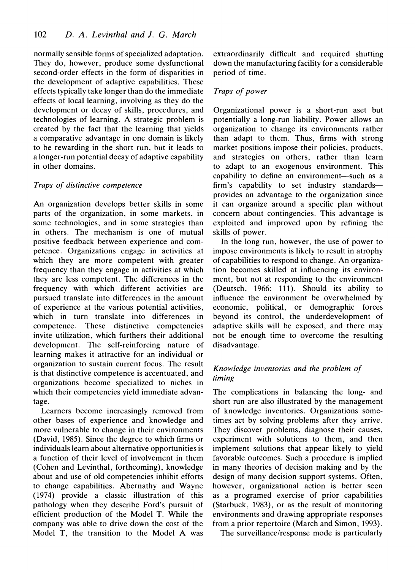**normally sensible forms of specialized adaptation. They do, however, produce some dysfunctional second-order effects in the form of disparities in the development of adaptive capabilities. These effects typically take longer than do the immediate effects of local learning, involving as they do the development or decay of skills, procedures, and technologies of learning. A strategic problem is created by the fact that the learning that yields a comparative advantage in one domain is likely to be rewarding in the short run, but it leads to a longer-run potential decay of adaptive capability in other domains.** 

#### **Traps of distinctive competence**

**An organization develops better skills in some parts of the organization, in some markets, in some technologies, and in some strategies than in others. The mechanism is one of mutual positive feedback between experience and competence. Organizations engage in activities at which they are more competent with greater frequency than they engage in activities at which they are less competent. The differences in the frequency with which different activities are pursued translate into differences in the amount of experience at the various potential activities, which in turn translate into differences in competence. These distinctive competencies invite utilization, which furthers their additional development. The self-reinforcing nature of learning makes it attractive for an individual or organization to sustain current focus. The result is that distinctive competence is accentuated, and organizations become specialized to niches in which their competencies yield immediate advantage.** 

**Learners become increasingly removed from other bases of experience and knowledge and more vulnerable to change in their environments (David, 1985). Since the degree to which firms or individuals learn about alternative opportunities is a function of their level of involvement in them (Cohen and Levinthal, forthcoming), knowledge about and use of old competencies inhibit efforts to change capabilities. Abernathy and Wayne (1974) provide a classic illustration of this pathology when they describe Ford's pursuit of efficient production of the Model T. While the company was able to drive down the cost of the Model T, the transition to the Model A was** 

**extraordinarily difficult and required shutting down the manufacturing facility for a considerable period of time.** 

#### **Traps of power**

**Organizational power is a short-run aset but potentially a long-run liability. Power allows an organization to change its environments rather than adapt to them. Thus, firms with strong market positions impose their policies, products, and strategies on others, rather than learn to adapt to an exogenous environment. This**  capability to define an environment-such as a firm's capability to set industry standards**provides an advantage to the organization since it can organize around a specific plan without concern about contingencies. This advantage is exploited and improved upon by refining the skills of power.** 

**In the long run, however, the use of power to impose environments is likely to result in atrophy of capabilities to respond to change. An organization becomes skilled at influencing its environment, but not at responding to the environment (Deutsch, 1966: 111). Should its ability to influence the environment be overwhelmed by economic, political, or demographic forces beyond its control, the underdevelopment of adaptive skills will be exposed, and there may not be enough time to overcome the resulting disadvantage.** 

#### **Knowledge inventories and the problem of timing**

**The complications in balancing the long- and short run are also illustrated by the management of knowledge inventories. Organizations sometimes act by solving problems after they arrive. They discover problems, diagnose their causes, experiment with solutions to them, and then implement solutions that appear likely to yield favorable outcomes. Such a procedure is implied in many theories of decision making and by the design of many decision support systems. Often, however, organizational action is better seen as a programed exercise of prior capabilities (Starbuck, 1983), or as the result of monitoring environments and drawing appropriate responses from a prior repertoire (March and Simon, 1993).** 

**The surveillance/response mode is particularly**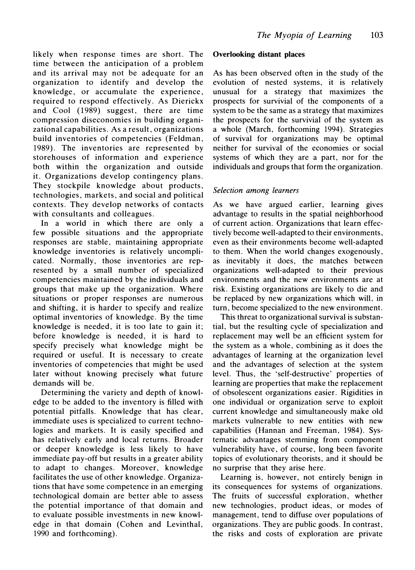**likely when response times are short. The time between the anticipation of a problem and its arrival may not be adequate for an organization to identify and develop the knowledge, or accumulate the experience, required to respond effectively. As Dierickx and Cool (1989) suggest, there are time compression diseconomies in building organizational capabilities. As a result, organizations build inventories of competencies (Feldman, 1989). The inventories are represented by storehouses of information and experience both within the organization and outside it. Organizations develop contingency plans. They stockpile knowledge about products, technologies, markets, and social and political contexts. They develop networks of contacts with consultants and colleagues.** 

**In a world in which there are only a few possible situations and the appropriate responses are stable, maintaining appropriate knowledge inventories is relatively uncomplicated. Normally, those inventories are represented by a small number of specialized competencies maintained by the individuals and groups that make up the organization. Where situations or proper responses are numerous and shifting, it is harder to specify and realize optimal inventories of knowledge. By the time knowledge is needed, it is too late to gain it; before knowledge is needed, it is hard to specify precisely what knowledge might be required or useful. It is necessary to create inventories of competencies that might be used later without knowing precisely what future demands will be.** 

**Determining the variety and depth of knowledge to be added to the inventory is filled with potential pitfalls. Knowledge that has clear, immediate uses is specialized to current technologies and markets. It is easily specified and has relatively early and local returns. Broader or deeper knowledge is less likely to have immediate pay-off but results in a greater ability to adapt to changes. Moreover, knowledge facilitates the use of other knowledge. Organizations that have some competence in an emerging technological domain are better able to assess the potential importance of that domain and to evaluate possible investments in new knowledge in that domain (Cohen and Levinthal, 1990 and forthcoming).** 

#### **Overlooking distant places**

**As has been observed often in the study of the evolution of nested systems, it is relatively unusual for a strategy that maximizes the prospects for survivial of the components of a system to be the same as a strategy that maximizes the prospects for the survivial of the system as a whole (March, forthcoming 1994). Strategies of survival for organizations may be optimal neither for survival of the economies or social systems of which they are a part, nor for the individuals and groups that form the organization.** 

### **Selection among learners**

**As we have argued earlier, learning gives advantage to results in the spatial neighborhood of current action. Organizations that learn effectively become well-adapted to their environments, even as their environments become well-adapted to them. When the world changes exogenously, as inevitably it does, the matches between organizations well-adapted to their previous environments and the new environments are at risk. Existing organizations are likely to die and be replaced by new organizations which will, in turn, become specialized to the new environment.** 

**This threat to organizational survival is substantial, but the resulting cycle of specialization and replacement may well be an efficient system for the system as a whole, combining as it does the advantages of learning at the organization level and the advantages of selection at the system level. Thus, the 'self-destructive' properties of learning are properties that make the replacement of obsolescent organizations easier. Rigidities in one individual or organization serve to exploit current knowledge and simultaneously make old markets vulnerable to new entities with new capabilities (Hannan and Freeman, 1984). Systematic advantages stemming from component vulnerability have, of course, long been favorite topics of evolutionary theorists, and it should be no surprise that they arise here.** 

**Learning is, however, not entirely benign in its consequences for systems of organizations. The fruits of successful exploration, whether new technologies, product ideas, or modes of management, tend to diffuse over populations of organizations. They are public goods. In contrast, the risks and costs of exploration are private**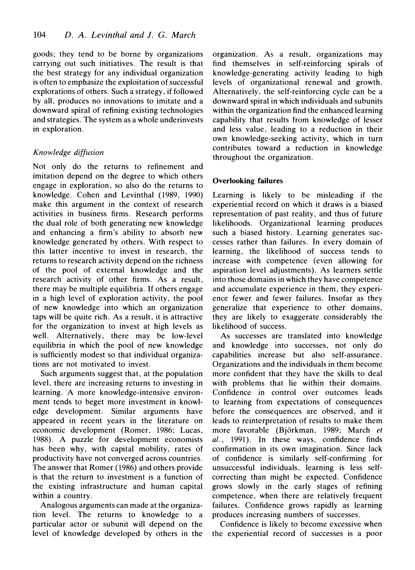**goods; they tend to be borne by organizations carrying out such initiatives. The result is that the best strategy for any individual organization is often to emphasize the exploitation of successful explorations of others. Such a strategy, if followed by all, produces no innovations to imitate and a downward spiral of refining existing technologies and strategies. The system as a whole underinvests in exploration.** 

# **Knowledge diffusion**

**Not only do the returns to refinement and imitation depend on the degree to which others engage in exploration, so also do the returns to knowledge. Cohen and Levinthal (1989, 1990) make this argument in the context of research activities in business firms. Research performs the dual role of both generating new knowledge and enhancing a firm's ability to absorb new knowledge generated by others. With respect to this latter incentive to invest in research, the returns to research activity depend on the richness of the pool of external knowledge and the research activity of other firms. As a result, there may be multiple equilibria. If others engage in a high level of exploration activity, the pool of new knowledge into which an organization taps will be quite rich. As a result, it is attractive for the organization to invest at high levels as well. Alternatively, there may be low-level equilibria in which the pool of new knowledge is sufficiently modest so that individual organizations are not motivated to invest.** 

**Such arguments suggest that, at the population level, there are increasing returns to investing in learning. A more knowledge-intensive environment tends to beget more investment in knowledge development. Similar arguments have appeared in recent years in the literature on economic development (Romer, 1986; Lucas, 1988). A puzzle for development economists has been why, with capital mobility, rates of productivity have not converged across countries. The answer that Romer (1986) and others provide is that the return to investment is a function of the existing infrastructure and human capital within a country.** 

**Analogous arguments can made at the organization level. The returns to knowledge to a particular actor or subunit will depend on the level of knowledge developed by others in the**  **organization. As a result, organizations may find themselves in self-reinforcing spirals of knowledge-generating activity leading to high levels of organizational renewal and growth. Alternatively, the self-reinforcing cycle can be a downward spiral in which individuals and subunits within the organization find the enhanced learning capability that results from knowledge of lesser and less value, leading to a reduction in their own knowledge-seeking activity, which in turn contributes toward a reduction in knowledge throughout the organization.** 

# **Overlooking failures**

**Learning is likely to be misleading if the experiential record on which it draws is a biased representation of past reality, and thus of future likelihoods. Organizational learning produces such a biased history. Learning generates successes rather than failures. In every domain of learning, the likelihood of success tends to increase with competence (even allowing for aspiration level adjustments). As learners settle into those domains in which they have competence and accumulate experience in them, they experience fewer and fewer failures. Insofar as they generalize that experience to other domains, they are likely to exaggerate considerably the likelihood of success.** 

**As successes are translated into knowledge and knowledge into successes, not only do capabilities increase but also self-assurance. Organizations and the individuals in them become more confident that they have the skills to deal with problems that lie within their domains. Confidence in control over outcomes leads to learning from expectations of consequences before the consequences are observed, and it leads to reinterpretation of results to make them more favorable (Bjorkman, 1989; March et al., 1991). In these ways, confidence finds confirmation in its own imagination. Since lack of confidence is similarly self-confirming for unsuccessful individuals, learning is less selfcorrecting than might be expected. Confidence grows slowly in the early stages of refining competence, when there are relatively frequent failures. Confidence grows rapidly as learning produces increasing numbers of successes.** 

**Confidence is likely to become excessive when the experiential record of successes is a poor**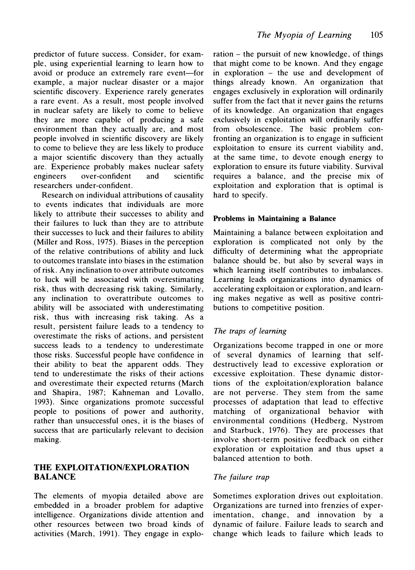**predictor of future success. Consider, for example, using experiential learning to learn how to avoid or produce an extremely rare event-for example, a major nuclear disaster or a major scientific discovery. Experience rarely generates a rare event. As a result, most people involved in nuclear safety are likely to come to believe they are more capable of producing a safe environment than they actually are, and most people involved in scientific discovery are likely to come to believe they are less likely to produce a major scientific discovery than they actually are. Experience probably makes nuclear safety**  engineers over-confident and **researchers under-confident.** 

**Research on individual attributions of causality to events indicates that individuals are more likely to attribute their successes to ability and their failures to luck than they are to attribute their successes to luck and their failures to ability (Miller and Ross, 1975). Biases in the perception of the relative contributions of ability and luck to outcomes translate into biases in the estimation of risk. Any inclination to over attribute outcomes to luck will be associated with overestimating risk, thus with decreasing risk taking. Similarly, any inclination to overattribute outcomes to ability will be associated with underestimating risk, thus with increasing risk taking. As a result, persistent failure leads to a tendency to overestimate the risks of actions, and persistent success leads to a tendency to underestimate those risks. Successful people have confidence in their ability to beat the apparent odds. They tend to underestimate the risks of their actions and overestimate their expected returns (March and Shapira, 1987; Kahneman and Lovallo, 1993). Since organizations promote successful people to positions of power and authority, rather than unsuccessful ones, it is the biases of success that are particularly relevant to decision making.** 

### **THE EXPLOITATION/EXPLORATION BALANCE**

**The elements of myopia detailed above are embedded in a broader problem for adaptive intelligence. Organizations divide attention and other resources between two broad kinds of activities (March, 1991). They engage in explo-** **ration - the pursuit of new knowledge, of things that might come to be known. And they engage in exploration - the use and development of things already known. An organization that engages exclusively in exploration will ordinarily suffer from the fact that it never gains the returns of its knowledge. An organization that engages exclusively in exploitation will ordinarily suffer from obsolescence. The basic problem confronting an organization is to engage in sufficient exploitation to ensure its current viability and, at the same time, to devote enough energy to exploration to ensure its future viability. Survival requires a balance, and the precise mix of exploitation and exploration that is optimal is hard to specify.** 

### **Problems in Maintaining a Balance**

**Maintaining a balance between exploitation and exploration is complicated not only by the difficulty of determining what the appropriate balance should be, but also by several ways in which learning itself contributes to imbalances. Learning leads organizations into dynamics of accelerating exploitaion or exploration, and learning makes negative as well as positive contributions to competitive position.** 

# **The traps of learning**

**Organizations become trapped in one or more of several dynamics of learning that selfdestructively lead to excessive exploration or excessive exploitation. These dynamic distortions of the exploitation/exploration balance are not perverse. They stem from the same processes of adaptation that lead to effective matching of organizational behavior with environmental conditions (Hedberg, Nystrom and Starbuck, 1976). They are processes that involve short-term positive feedback on either exploration or exploitation and thus upset a balanced attention to both.** 

# **The failure trap**

**Sometimes exploration drives out exploitation. Organizations are turned into frenzies of experimentation, change, and innovation by a dynamic of failure. Failure leads to search and change which leads to failure which leads to**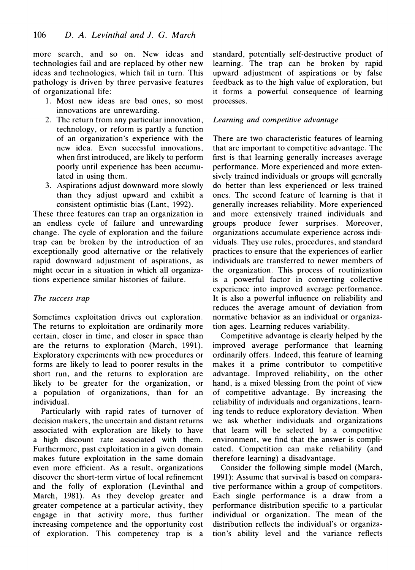**more search, and so on. New ideas and technologies fail and are replaced by other new ideas and technologies, which fail in turn. This pathology is driven by three pervasive features of organizational life:** 

- **1. Most new ideas are bad ones, so most innovations are unrewarding.**
- **2. The return from any particular innovation, technology, or reform is partly a function of an organization's experience with the new idea. Even successful innovations, when first introduced, are likely to perform poorly until experience has been accumulated in using them.**
- **3. Aspirations adjust downward more slowly than they adjust upward and exhibit a consistent optimistic bias (Lant, 1992).**

**These three features can trap an organization in an endless cycle of failure and unrewarding change. The cycle of exploration and the failure trap can be broken by the introduction of an exceptionally good alternative or the relatively rapid downward adjustment of aspirations, as might occur in a situation in which all organizations experience similar histories of failure.** 

#### **The success trap**

**Sometimes exploitation drives out exploration. The returns to exploitation are ordinarily more certain, closer in time, and closer in space than are the returns to exploration (March, 1991). Exploratory experiments with new procedures or forms are likely to lead to poorer results in the short run, and the returns to exploration are likely to be greater for the organization, or a population of organizations, than for an individual.** 

**Particularly with rapid rates of turnover of decision makers, the uncertain and distant returns associated with exploration are likely to have a high discount rate associated with them. Furthermore, past exploitation in a given domain makes future exploitation in the same domain even more efficient. As a result, organizations discover the short-term virtue of local refinement and the folly of exploration (Levinthal and March, 1981). As they develop greater and greater competence at a particular activity, they engage in that activity more, thus further increasing competence and the opportunity cost of exploration. This competency trap is a** 

**standard, potentially self-destructive product of learning. The trap can be broken by rapid upward adjustment of aspirations or by false feedback as to the high value of exploration, but it forms a powerful consequence of learning processes.** 

### **Learning and competitive advantage**

**There are two characteristic features of learning that are important to competitive advantage. The first is that learning generally increases average performance. More experienced and more extensively trained individuals or groups will generally do better than less experienced or less trained ones. The second feature of learning is that it generally increases reliability. More experienced and more extensively trained individuals and groups produce fewer surprises. Moreover, organizations accumulate experience across individuals. They use rules, procedures, and standard practices to ensure that the experiences of earlier individuals are transferred to newer members of the organization. This process of routinization is a powerful factor in converting collective experience into improved average performance. It is also a powerful influence on reliability and reduces the average amount of deviation from normative behavior as an individual or organization ages. Learning reduces variability.** 

**Competitive advantage is clearly helped by the improved average performance that learning ordinarily offers. Indeed, this feature of learning makes it a prime contributor to competitive advantage. Improved reliability, on the other hand, is a mixed blessing from the point of view of competitive advantage. By increasing the reliability of individuals and organizations, learning tends to reduce exploratory deviation. When we ask whether individuals and organizations that learn will be selected by a competitive environment, we find that the answer is complicated. Competition can make reliability (and therefore learning) a disadvantage.** 

**Consider the following simple model (March, 1991): Assume that survival is based on comparative performance within a group of competitors. Each single performance is a draw from a performance distribution specific to a particular individual or organization. The mean of the distribution reflects the individual's or organization's ability level and the variance reflects**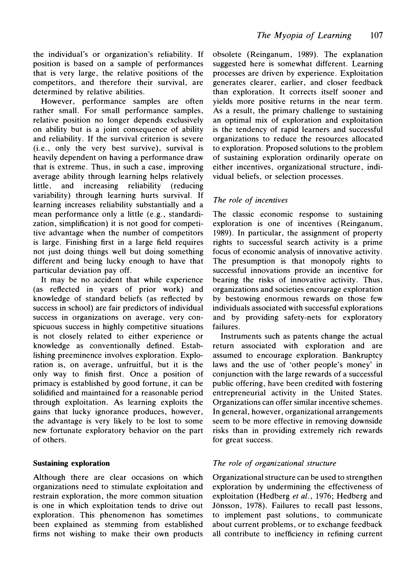**the individual's or organization's reliability. If position is based on a sample of performances that is very large, the relative positions of the competitors, and therefore their survival, are determined by relative abilities.** 

**However, performance samples are often rather small. For small performance samples, relative position no longer depends exclusively on ability but is a joint consequence of ability and reliability. If the survival criterion is severe (i.e., only the very best survive), survival is heavily dependent on having a performance draw that is extreme. Thus, in such a case, improving average ability through learning helps relatively little, and increasing reliability (reducing variability) through learning hurts survival. If learning increases reliability substantially and a mean performance only a little (e.g., standardization, simplification) it is not good for competitive advantage when the number of competitors is large. Finishing first in a large field requires not just doing things well but doing something different and being lucky enough to have that particular deviation pay off.** 

**It may be no accident that while experience (as reflected in years of prior work) and knowledge of standard beliefs (as reflected by success in school) are fair predictors of individual success in organizations on average, very conspicuous success in highly competitive situations is not closely related to either experience or knowledge as conventionally defined. Establishing preeminence involves exploration. Exploration is, on average, unfruitful, but it is the only way to finish first. Once a position of primacy is established by good fortune, it can be solidified and maintained for a reasonable period through exploitation. As learning exploits the gains that lucky ignorance produces, however, the advantage is very likely to be lost to some new fortunate exploratory behavior on the part of others.** 

#### **Sustaining exploration**

**Although there are clear occasions on which organizations need to stimulate exploitation and restrain exploration, the more common situation is one in which exploitation tends to drive out exploration. This phenomenon has sometimes been explained as stemming from established firms not wishing to make their own products** 

**obsolete (Reinganum, 1989). The explanation suggested here is somewhat different. Learning processes are driven by experience. Exploitation generates clearer, earlier, and closer feedback than exploration. It corrects itself sooner and yields more positive returns in the near term. As a result, the primary challenge to sustaining an optimal mix of exploration and exploitation is the tendency of rapid learners and successful organizations to reduce the resources allocated to exploration. Proposed solutions to the problem of sustaining exploration ordinarily operate on either incentives, organizational structure, individual beliefs, or selection processes.** 

### **The role of incentives**

**The classic economic response to sustaining exploration is one of incentives (Reinganum, 1989). In particular, the assignment of property rights to successful search activity is a prime focus of economic analysis of innovative activity. The presumption is that monopoly rights to successful innovations provide an incentive for bearing the risks of innovative activity. Thus, organizations and societies encourage exploration by bestowing enormous rewards on those few individuals associated with successful explorations and by providing safety-nets for exploratory failures.** 

**Instruments such as patents change the actual return associated with exploration and are assumed to encourage exploration. Bankruptcy laws and the use of 'other people's money' in conjunction with the large rewards of a successful public offering, have been credited with fostering entrepreneurial activity in the United States. Organizations can offer similar incentive schemes. In general, however, organizational arrangements seem to be more effective in removing downside risks than in providing extremely rich rewards for great success.** 

# **The role of organizational structure**

**Organizational structure can be used to strengthen exploration by undermining the effectiveness of exploitation (Hedberg et al., 1976; Hedberg and Jonsson, 1978). Failures to recall past lessons, to implement past solutions, to communicate about current problems, or to exchange feedback all contribute to inefficiency in refining current**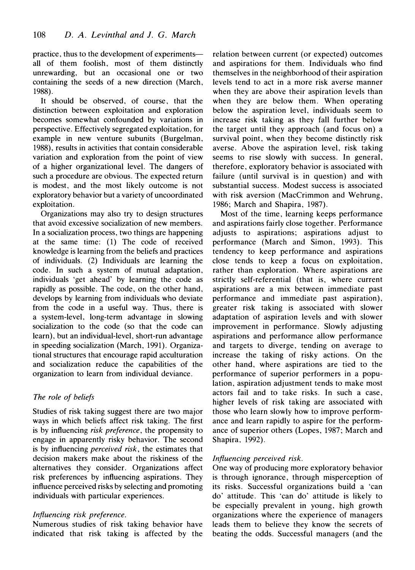**practice, thus to the development of experimentsall of them foolish, most of them distinctly unrewarding, but an occasional one or two containing the seeds of a new direction (March, 1988).** 

**It should be observed, of course, that the distinction between exploitation and exploration becomes somewhat confounded by variations in perspective. Effectively segregated exploitation, for example in new venture subunits (Burgelman, 1988), results in activities that contain considerable variation and exploration from the point of view of a higher organizational level. The dangers of such a procedure are obvious. The expected return is modest, and the most likely outcome is not exploratory behavior but a variety of uncoordinated exploitation.** 

**Organizations may also try to design structures that avoid excessive socialization of new members. In a socialization process, two things are happening at the same time: (1) The code of received knowledge is learning from the beliefs and practices of individuals. (2) Individuals are learning the code. In such a system of mutual adaptation, individuals 'get ahead' by learning the code as rapidly as possible. The code, on the other hand, develops by learning from individuals who deviate from the code in a useful way. Thus, there is a system-level, long-term advantage in slowing socialization to the code (so that the code can learn), but an individual-level, short-run advantage in speeding socialization (March, 1991). Organizational structures that encourage rapid acculturation and socialization reduce the capabilities of the organization to learn from individual deviance.** 

# **The role of beliefs**

**Studies of risk taking suggest there are two major ways in which beliefs affect risk taking. The first is by influencing risk preference, the propensity to engage in apparently risky behavior. The second is by influencing perceived risk, the estimates that decision makers make about the riskiness of the alternatives they consider. Organizations affect risk preferences by influencing aspirations. They influence perceived risks by selecting and promoting individuals with particular experiences.** 

# **Influencing risk preference.**

**Numerous studies of risk taking behavior have indicated that risk taking is affected by the** 

**relation between current (or expected) outcomes and aspirations for them. Individuals who find themselves in the neighborhood of their aspiration levels tend to act in a more risk averse manner when they are above their aspiration levels than when they are below them. When operating below the aspiration level, individuals seem to increase risk taking as they fall further below the target until they approach (and focus on) a survival point, when they become distinctly risk averse. Above the aspiration level, risk taking seems to rise slowly with success. In general, therefore, exploratory behavior is associated with failure (until survival is in question) and with substantial success. Modest success is associated with risk aversion (MacCrimmon and Wehrung, 1986; March and Shapira, 1987).** 

**Most of the time, learning keeps performance and aspirations fairly close together. Performance adjusts to aspirations; aspirations adjust to performance (March and Simon, 1993). This tendency to keep performance and aspirations close tends to keep a focus on exploitation, rather than exploration. Where aspirations are strictly self-referential (that is, where current aspirations are a mix between immediate past performance and immediate past aspiration), greater risk taking is associated with slower adaptation of aspiration levels and with slower improvement in performance. Slowly adjusting aspirations and performance allow performance and targets to diverge, tending on average to increase the taking of risky actions. On the other hand, where aspirations are tied to the performance of superior performers in a population, aspiration adjustment tends to make most actors fail and to take risks. In such a case, higher levels of risk taking are associated with those who learn slowly how to improve performance and learn rapidly to aspire for the performance of superior others (Lopes, 1987; March and Shapira, 1992).** 

# **Influencing perceived risk.**

**One way of producing more exploratory behavior is through ignorance, through misperception of its risks. Successful organizations build a 'can do' attitude. This 'can do' attitude is likely to be especially prevalent in young, high growth organizations where the experience of managers leads them to believe they know the secrets of beating the odds. Successful managers (and the**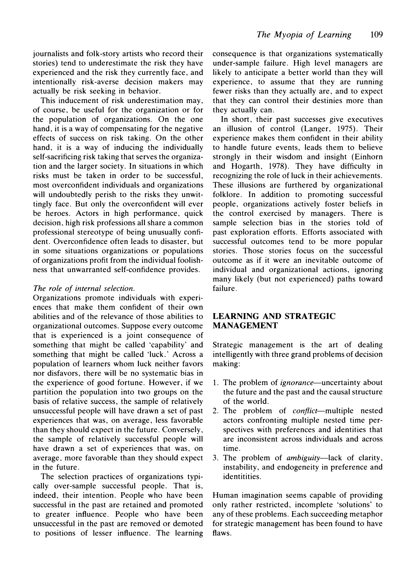**journalists and folk-story artists who record their stories) tend to underestimate the risk they have experienced and the risk they currently face, and intentionally risk-averse decision makers may actually be risk seeking in behavior.** 

**This inducement of risk underestimation may, of course, be useful for the organization or for the population of organizations. On the one hand, it is a way of compensating for the negative effects of success on risk taking. On the other hand, it is a way of inducing the individually self-sacrificing risk taking that serves the organization and the larger society. In situations in which risks must be taken in order to be successful, most overconfident individuals and organizations will undoubtedly perish to the risks they unwittingly face. But only the overconfident will ever be heroes. Actors in high performance, quick decision, high risk professions all share a common professional stereotype of being unusually confident. Overconfidence often leads to disaster, but in some situations organizations or populations of organizations profit from the individual foolishness that unwarranted self-confidence provides.** 

#### **The role of internal selection.**

**Organizations promote individuals with experiences that make them confident of their own abilities and of the relevance of those abilities to organizational outcomes. Suppose every outcome that is experienced is a joint consequence of something that might be called 'capability' and something that might be called 'luck.' Across a population of learners whom luck neither favors nor disfavors, there will be no systematic bias in the experience of good fortune. However, if we partition the population into two groups on the basis of relative success, the sample of relatively unsuccessful people will have drawn a set of past experiences that was, on average, less favorable than they should expect in the future. Conversely, the sample of relatively successful people will have drawn a set of experiences that was, on average, more favorable than they should expect in the future.** 

**The selection practices of organizations typically over-sample successful people. That is, indeed, their intention. People who have been successful in the past are retained and promoted to greater influence. People who have been unsuccessful in the past are removed or demoted to positions of lesser influence. The learning**  **consequence is that organizations systematically under-sample failure. High level managers are likely to anticipate a better world than they will experience, to assume that they are running fewer risks than they actually are, and to expect that they can control their destinies more than they actually can.** 

**In short, their past successes give executives an illusion of control (Langer, 1975). Their experience makes them confident in their ability to handle future events, leads them to believe strongly in their wisdom and insight (Einhorn and Hogarth, 1978). They have difficulty in recognizing the role of luck in their achievements. These illusions are furthered by organizational folklore. In addition to promoting successful people, organizations actively foster beliefs in the control exercised by managers. There is sample selection bias in the stories told of past exploration efforts. Efforts associated with successful outcomes tend to be more popular stories. Those stories focus on the successful outcome as if it were an inevitable outcome of individual and organizational actions, ignoring many likely (but not experienced) paths toward failure.** 

### **LEARNING AND STRATEGIC MANAGEMENT**

**Strategic management is the art of dealing intelligently with three grand problems of decision making:** 

- **1. The problem of ignorance-uncertainty about the future and the past and the causal structure of the world.**
- **2. The problem of conflict-multiple nested actors confronting multiple nested time perspectives with preferences and identities that are inconsistent across individuals and across time.**
- **3. The problem of ambiguity-lack of clarity, instability, and endogeneity in preference and identitities.**

**Human imagination seems capable of providing only rather restricted, incomplete 'solutions' to any of these problems. Each succeeding metaphor for strategic management has been found to have flaws.**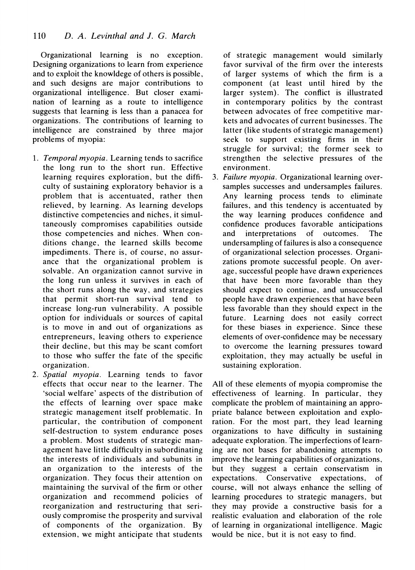**Organizational learning is no exception. Designing organizations to learn from experience and to exploit the knowldege of others is possible, and such designs are major contributions to organizational intelligence. But closer examination of learning as a route to intelligence suggests that learning is less than a panacea for organizations. The contributions of learning to intelligence are constrained by three major problems of myopia:** 

- **1. Temporal myopia. Learning tends to sacrifice the long run to the short run. Effective learning requires exploration, but the difficulty of sustaining exploratory behavior is a problem that is accentuated, rather then relieved, by learning. As learning develops distinctive competencies and niches, it simultaneously compromises capabilities outside those competencies and niches. When conditions change, the learned skills become impediments. There is, of course, no assurance that the organizational problem is solvable. An organization cannot survive in the long run unless it survives in each of the short runs along the way, and strategies that permit short-run survival tend to increase long-run vulnerability. A possible option for individuals or sources of capital is to move in and out of organizations as entrepreneurs, leaving others to experience their decline, but this may be scant comfort to those who suffer the fate of the specific organization.**
- **2. Spatial myopia. Learning tends to favor effects that occur near to the learner. The 'social welfare' aspects of the distribution of the effects of learning over space make strategic management itself problematic. In particular, the contribution of component self-destruction to system endurance poses a problem. Most students of strategic management have little difficulty in subordinating the interests of individuals and subunits in an organization to the interests of the organization. They focus their attention on maintaining the survival of the firm or other organization and recommend policies of reorganization and restructuring that seriously compromise the prosperity and survival of components of the organization. By extension, we might anticipate that students**

**of strategic management would similarly favor survival of the firm over the interests of larger systems of which the firm is a component (at least until hired by the larger system). The conflict is illustrated in contemporary politics by the contrast between advocates of free competitive markets and advocates of current businesses. The latter (like students of strategic management) seek to support existing firms in their struggle for survival; the former seek to strengthen the selective pressures of the environment.** 

**3. Failure myopia. Organizational learning oversamples successes and undersamples failures. Any learning process tends to eliminate failures, and this tendency is accentuated by the way learning produces confidence and confidence produces favorable anticipations and interpretations of outcomes. The undersampling of failures is also a consequence of organizational selection processes. Organizations promote successful people. On average, successful people have drawn experiences that have been more favorable than they should expect to continue, and unsuccessful people have drawn experiences that have been less favorable than they should expect in the future. Learning does not easily correct for these biases in experience. Since these elements of over-confidence may be necessary to overcome the learning pressures toward exploitation, they may actually be useful in sustaining exploration.** 

**All of these elements of myopia compromise the effectiveness of learning. In particular, they complicate the problem of maintaining an appropriate balance between exploitation and exploration. For the most part, they lead learning organizations to have difficulty in sustaining adequate exploration. The imperfections of learning are not bases for abandoning attempts to improve the learning capabilities of organizations, but they suggest a certain conservatism in expectations. Conservative expectations, of course, will not always enhance the selling of learning procedures to strategic managers, but they may provide a constructive basis for a realistic evaluation and elaboration of the role of learning in organizational intelligence. Magic would be nice, but it is not easy to find.**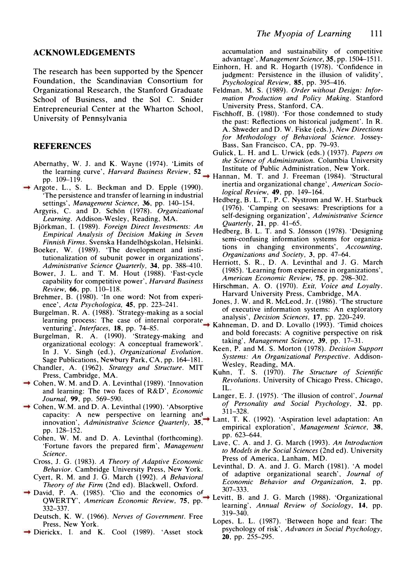#### **ACKNOWLEDGEMENTS**

**The research has been supported by the Spencer Foundation, the Scandinavian Consortium for Organizational Research, the Stanford Graduate School of Business, and the Sol C. Snider Entrepreneurial Center at the Wharton School, University of Pennsylvania** 

#### **REFERENCES**

- **Abernathy, W. J. and K. Wayne (1974). 'Limits of the learning curve', Harvard Business Review, 52, pp. 109-119.**
- **Argote, L., S. L. Beckman and D. Epple (1990). 'The persistence and transfer of learning in industrial settings', Management Science, 36, pp. 140-154.** 
	- **Argyris, C. and D. Schon (1978). Organizational Learning. Addison-Wesley, Reading, MA.**
	- **Bjorkman, I. (1989). Foreign Direct Investments: An Empirical Analysis of Decision Making in Seven Finnish Firms. Svenska Handelhogskolan, Helsinki.**
	- **Boeker, W. (1989). 'The development and institutionalization of subunit power in organizations', Administrative Science Quarterly, 34, pp. 388-410.**
	- **Bower, J. L. and T. M. Hout (1988). 'Fast-cycle capability for competitive power', Harvard Business Review, 66, pp. 110-118.**
	- **Brehmer, B. (1980). 'In one word: Not from experience', Acta Psychologica, 45, pp. 223-241.**
	- **Burgelman. R. A. (1988). 'Strategy-making as a social learning process: The case of internal corporate venturing', Interfaces, 18, pp. 74-85.**
- **Burgelman, R. A. (1990). 'Strategy-making and organizational ecology: A conceptual framework'. In J. V. Singh (ed.), Organizational Evolution. Sage Publications, Newbury Park, CA, pp. 164-181.**
- **Chandler, A. (1962). Strategy and Structure. MIT Press, Cambridge, MA.**
- **→ Cohen, W. M. and D. A. Levinthal (1989). 'Innovation and learning: The two faces of R&D', Economic Journal, 99, pp. 569-590.**
- **→ Cohen, W.M. and D. A. Levinthal (1990). 'Absorptive capacity: A new perspective on learning and innovation', Administrative Science Quarterly, 35, pp. 128-152.** 
	- **Cohen, W. M. and D. A. Levinthal (forthcoming).**  'Fortune favors the prepared firm', Management **Science.**
	- **Cross, J. G. (1983). A Theory of Adaptive Economic Behavior. Cambridge University Press, New York.**
	- **Cyert, R. M. and J. G. March (1992). A Behavioral Theory of the Firm (2nd ed). Blackwell, Oxford.**
- **David, P. A. (1985). 'Clio and the economics of QWERTY', American Economic Review, 75, pp. 332-337.** 
	- **Deutsch, K. W. (1966). Nerves of Government. Free Press, New York.**
- → Dierickx, I. and K. Cool (1989). 'Asset stock

**accumulation and sustainability of competitive advantage', Management Science, 35, pp. 1504-1511.** 

- **Einhorn, H. and R. Hogarth (1978). 'Confidence in judgment: Persistence in the illusion of validity', Psychological Review, 85, pp. 395-416.**
- **Feldman, M. S. (1989). Order without Design: Information Production and Policy Making. Stanford University Press, Stanford, CA.**
- **Fischhoff, B. (1980). 'For those condemned to study the past: Reflections on historical judgment'. In R. A. Shweder and D. W. Fiske (eds.), New Directions for Methodology of Behavioral Science. Jossey-Bass, San Francisco, CA, pp. 79-93.**
- **Gulick, L. H. and L. Urwick (eds.) (1937). Papers on the Science of Administration. Columbia University Institute of Public Administration, New York.**
- **Hannan, M. T. and J. Freeman (1984). 'Structural inertia and organizational change', American Sociological Review, 49, pp. 149-164.** 
	- **Hedberg, B. L. T., P. C. Nystrom and W. H. Starbuck (1976). 'Camping on seesaws: Prescriptions for a self-designing organization', Administrative Science Quarterly, 21, pp. 41-65.**
	- **Hedberg, B. L. T. and S. Jonsson (1978). 'Designing semi-confusing information systems for organizations in changing environments', Accounting, Organizations and Society, 3, pp. 47-64.**
	- **Herriott, S. R., D. A. Levinthal and J. G. March (1985). 'Learning from experience in organizations', American Economic Review, 75, pp. 298-302.**
	- **Hirschman, A. 0. (1970). Exit, Voice and Loyalty. Harvard University Press, Cambridge, MA.**
	- **Jones, J. W. and R. McLeod, Jr. (1986). 'The structure of executive information systems: An exploratory analysis', Decision Sciences, 17, pp. 220-249.**
	- **Kahneman, D. and D. Lovallo (1993). 'Timid choices and bold forecasts: A cognitive perspective on risk taking', Management Science, 39, pp. 17-31.**
	- **Keen, P. and M. S. Morton (1978). Decision Support Systems: An Organizational Perspective. Addison-Wesley, Reading, MA.**
	- **Kuhn, T. S. (1970). The Structure of Scientific Revolutions. University of Chicago Press, Chicago, IL.**
	- **Langer, E. J. (1975). 'The illusion of control', Journal of Personality and Social Psychology, 32, pp. 311-328.**
- **Lant, T. K. (1992). 'Aspiration level adaptation: An empirical exploration', Management Science, 38, pp. 623-644.**
- **Lave, C. A. and J. G. March (1993). An Introduction to Models in the Social Sciences (2nd ed). University Press of America, Lanham, MD.**
- **Levinthal, D. A. and J. G. March (1981). 'A model of adaptive organizational search', Journal of Economic Behavior and Organization, 2, pp. 307-333.**
- **Levitt, B. and J. G. March (1988). 'Organizational learning', Annual Review of Sociology, 14, pp. 319-340.** 
	- **Lopes, L. L. (1987). 'Between hope and fear: The psychology of risk', Advances in Social Psychology, 20, pp. 255-295.**